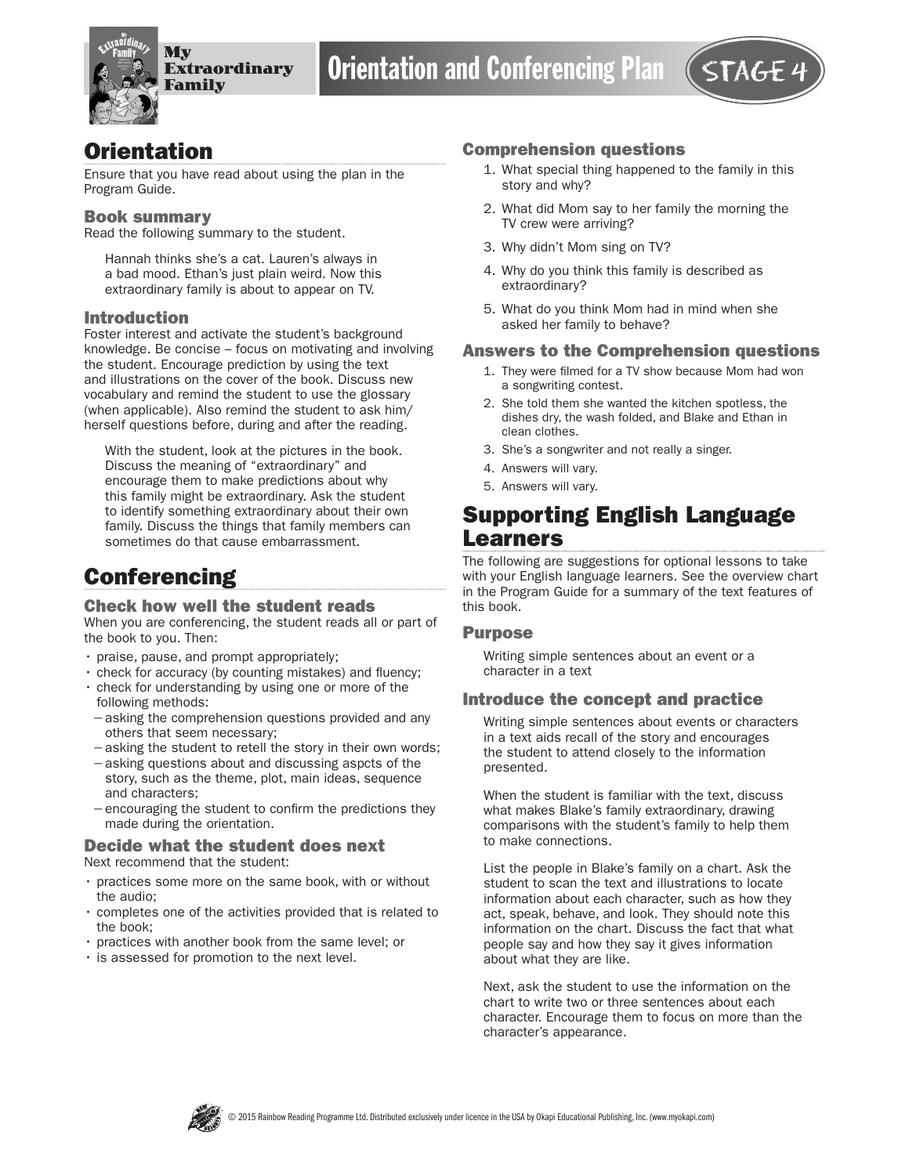

## **Orientation**

Ensure that you have read about using the plan in the Program Guide.

#### Book summary

Read the following summary to the student.

Hannah thinks she's a cat. Lauren's always in a bad mood. Ethan's just plain weird. Now this extraordinary family is about to appear on TV.

#### Introduction

Foster interest and activate the student's background knowledge. Be concise – focus on motivating and involving the student. Encourage prediction by using the text and illustrations on the cover of the book. Discuss new vocabulary and remind the student to use the glossary (when applicable). Also remind the student to ask him/ herself questions before, during and after the reading.

With the student, look at the pictures in the book. Discuss the meaning of "extraordinary" and encourage them to make predictions about why this family might be extraordinary. Ask the student to identify something extraordinary about their own family. Discuss the things that family members can sometimes do that cause embarrassment.

# **Conferencing**

#### Check how well the student reads

When you are conferencing, the student reads all or part of the book to you. Then:

- praise, pause, and prompt appropriately;
- check for accuracy (by counting mistakes) and fluency;
- check for understanding by using one or more of the following methods:
- −asking the comprehension questions provided and any others that seem necessary;
- −asking the student to retell the story in their own words;
- −asking questions about and discussing aspcts of the story, such as the theme, plot, main ideas, sequence and characters;
- −encouraging the student to confirm the predictions they made during the orientation.

### Decide what the student does next

Next recommend that the student:

- practices some more on the same book, with or without the audio;
- completes one of the activities provided that is related to the book;
- practices with another book from the same level; or
- is assessed for promotion to the next level.

#### Comprehension questions

- 1. What special thing happened to the family in this story and why?
- 2. What did Mom say to her family the morning the TV crew were arriving?
- 3. Why didn't Mom sing on TV?
- 4. Why do you think this family is described as extraordinary?
- 5. What do you think Mom had in mind when she asked her family to behave?

#### Answers to the Comprehension questions

- 1. They were filmed for a TV show because Mom had won a songwriting contest.
- 2. She told them she wanted the kitchen spotless, the dishes dry, the wash folded, and Blake and Ethan in clean clothes.
- 3. She's a songwriter and not really a singer.
- 4. Answers will vary.
- 5. Answers will vary.

# Supporting English Language Learners

The following are suggestions for optional lessons to take with your English language learners. See the overview chart in the Program Guide for a summary of the text features of this book.

#### Purpose

Writing simple sentences about an event or a character in a text

#### Introduce the concept and practice

Writing simple sentences about events or characters in a text aids recall of the story and encourages the student to attend closely to the information presented.

When the student is familiar with the text, discuss what makes Blake's family extraordinary, drawing comparisons with the student's family to help them to make connections.

List the people in Blake's family on a chart. Ask the student to scan the text and illustrations to locate information about each character, such as how they act, speak, behave, and look. They should note this information on the chart. Discuss the fact that what people say and how they say it gives information about what they are like.

Next, ask the student to use the information on the chart to write two or three sentences about each character. Encourage them to focus on more than the character's appearance.

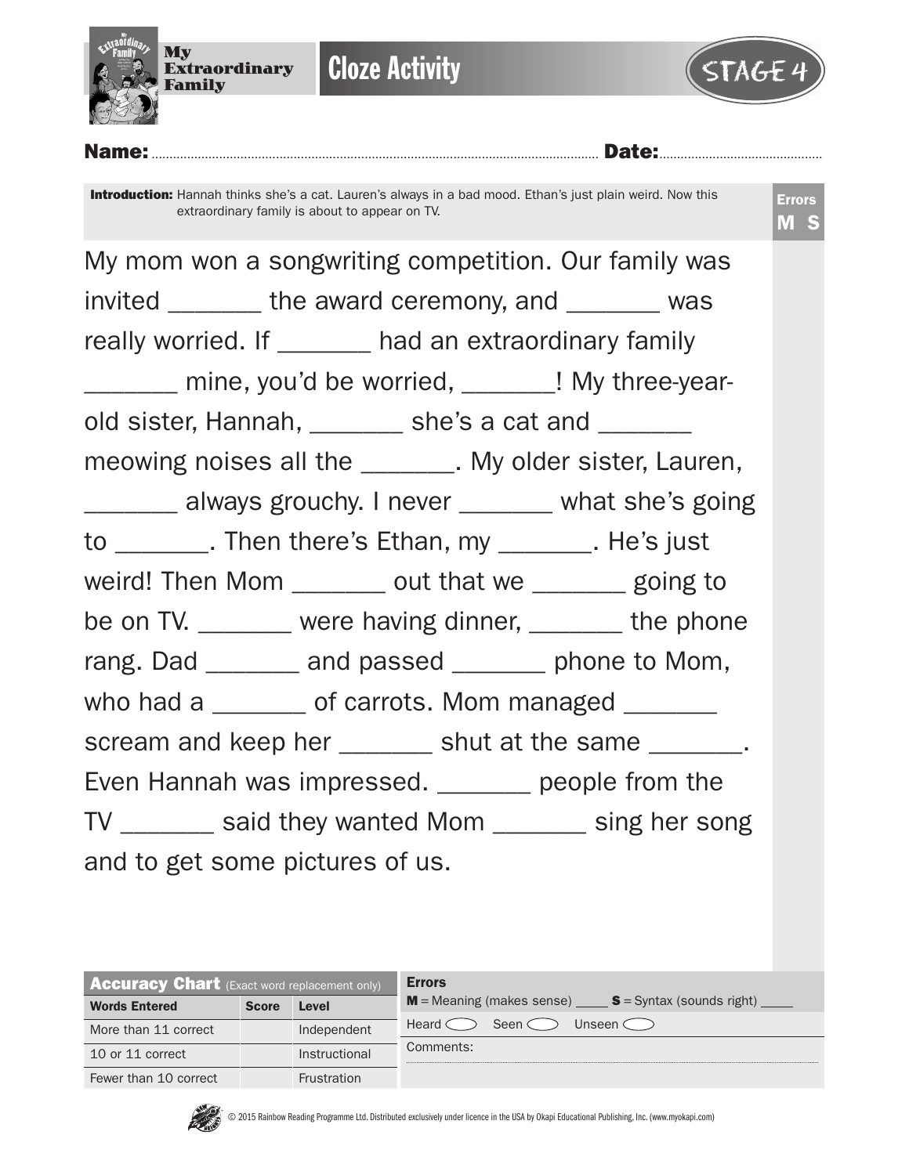

**Cloze Activity** 



Name:.............................................................................................................................. Date:.............................................. Introduction: Hannah thinks she's a cat. Lauren's always in a bad mood. Ethan's just plain weird. Now this extraordinary family is about to appear on TV. Errors M S My mom won a songwriting competition. Our family was invited the award ceremony, and was really worried. If \_\_\_\_\_\_\_ had an extraordinary family mine, you'd be worried, The My three-yearold sister, Hannah, \_\_\_\_\_\_\_ she's a cat and \_\_\_\_\_\_\_ meowing noises all the \_\_\_\_\_\_\_\_. My older sister, Lauren, \_\_\_\_\_\_\_ always grouchy. I never \_\_\_\_\_\_\_ what she's going to \_\_\_\_\_\_\_. Then there's Ethan, my \_\_\_\_\_\_\_. He's just weird! Then Mom \_\_\_\_\_\_\_ out that we \_\_\_\_\_\_ going to be on TV. \_\_\_\_\_\_ were having dinner, \_\_\_\_\_\_ the phone rang. Dad \_\_\_\_\_\_\_ and passed \_\_\_\_\_\_ phone to Mom, who had a \_\_\_\_\_\_\_ of carrots. Mom managed \_\_\_\_\_\_ scream and keep her \_\_\_\_\_\_\_ shut at the same \_\_\_\_\_\_\_. Even Hannah was impressed. \_\_\_\_\_\_\_ people from the TV \_\_\_\_\_\_\_ said they wanted Mom \_\_\_\_\_\_\_ sing her song and to get some pictures of us.

| <b>Accuracy Chart</b> (Exact word replacement only) |              |                    | <b>Errors</b>                                           |
|-----------------------------------------------------|--------------|--------------------|---------------------------------------------------------|
| <b>Words Entered</b>                                | <b>Score</b> | Level              | $M$ = Meaning (makes sense) $S$ = Syntax (sounds right) |
| More than 11 correct                                |              | Independent        | Seen $\subset$<br>Heard C<br>Unseen $\subset$ $\supset$ |
| 10 or 11 correct                                    |              | Instructional      | Comments:                                               |
| Fewer than 10 correct                               |              | <b>Frustration</b> |                                                         |

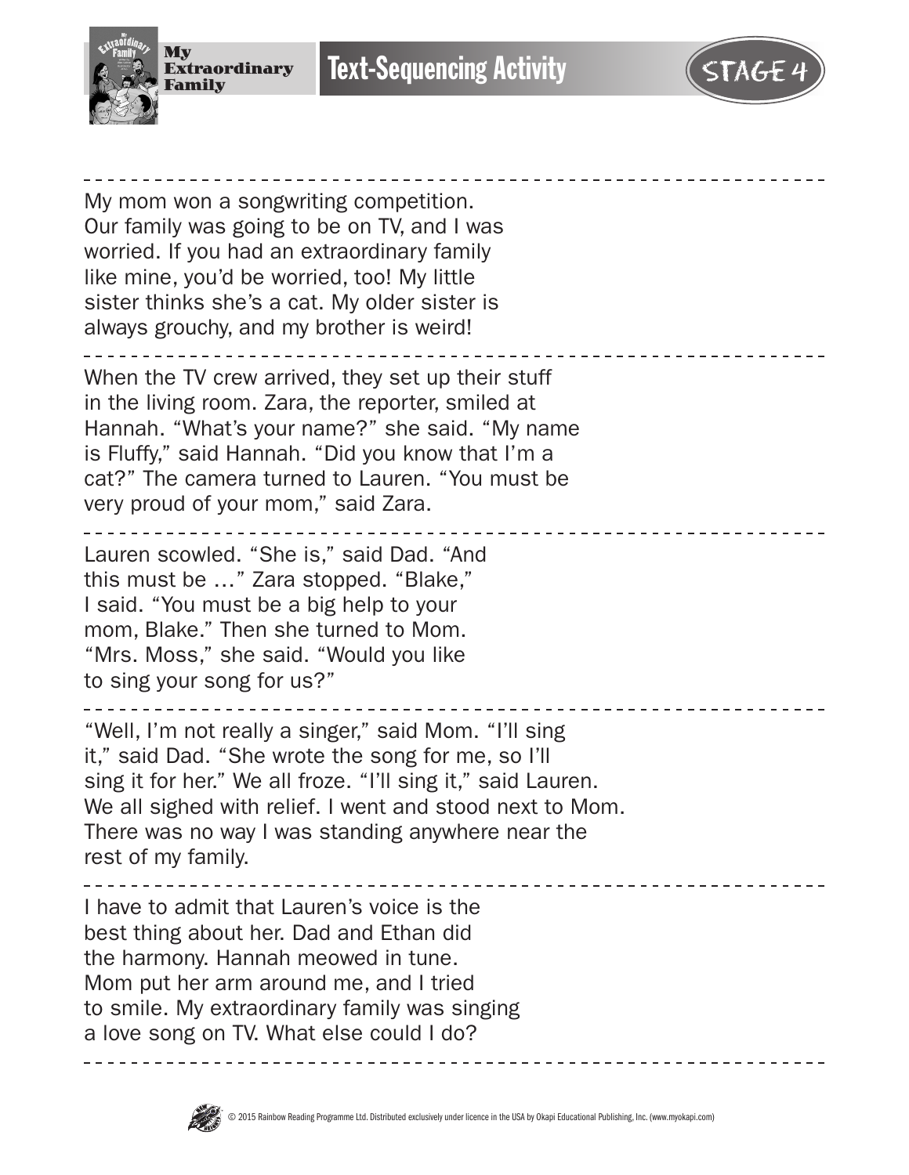

**Text-Sequencing Activity** 



My mom won a songwriting competition. Our family was going to be on TV, and I was worried. If you had an extraordinary family like mine, you'd be worried, too! My little sister thinks she's a cat. My older sister is always grouchy, and my brother is weird! When the TV crew arrived, they set up their stuff in the living room. Zara, the reporter, smiled at Hannah. "What's your name?" she said. "My name is Fluffy," said Hannah. "Did you know that I'm a cat?" The camera turned to Lauren. "You must be very proud of your mom," said Zara. ------------------------Lauren scowled. "She is," said Dad. "And this must be …" Zara stopped. "Blake," I said. "You must be a big help to your mom, Blake." Then she turned to Mom. "Mrs. Moss," she said. "Would you like to sing your song for us?" . . . . . . . . . . . . . . "Well, I'm not really a singer," said Mom. "I'll sing it," said Dad. "She wrote the song for me, so I'll sing it for her." We all froze. "I'll sing it," said Lauren. We all sighed with relief. I went and stood next to Mom. There was no way I was standing anywhere near the rest of my family. I have to admit that Lauren's voice is the best thing about her. Dad and Ethan did the harmony. Hannah meowed in tune. Mom put her arm around me, and I tried to smile. My extraordinary family was singing a love song on TV. What else could I do?

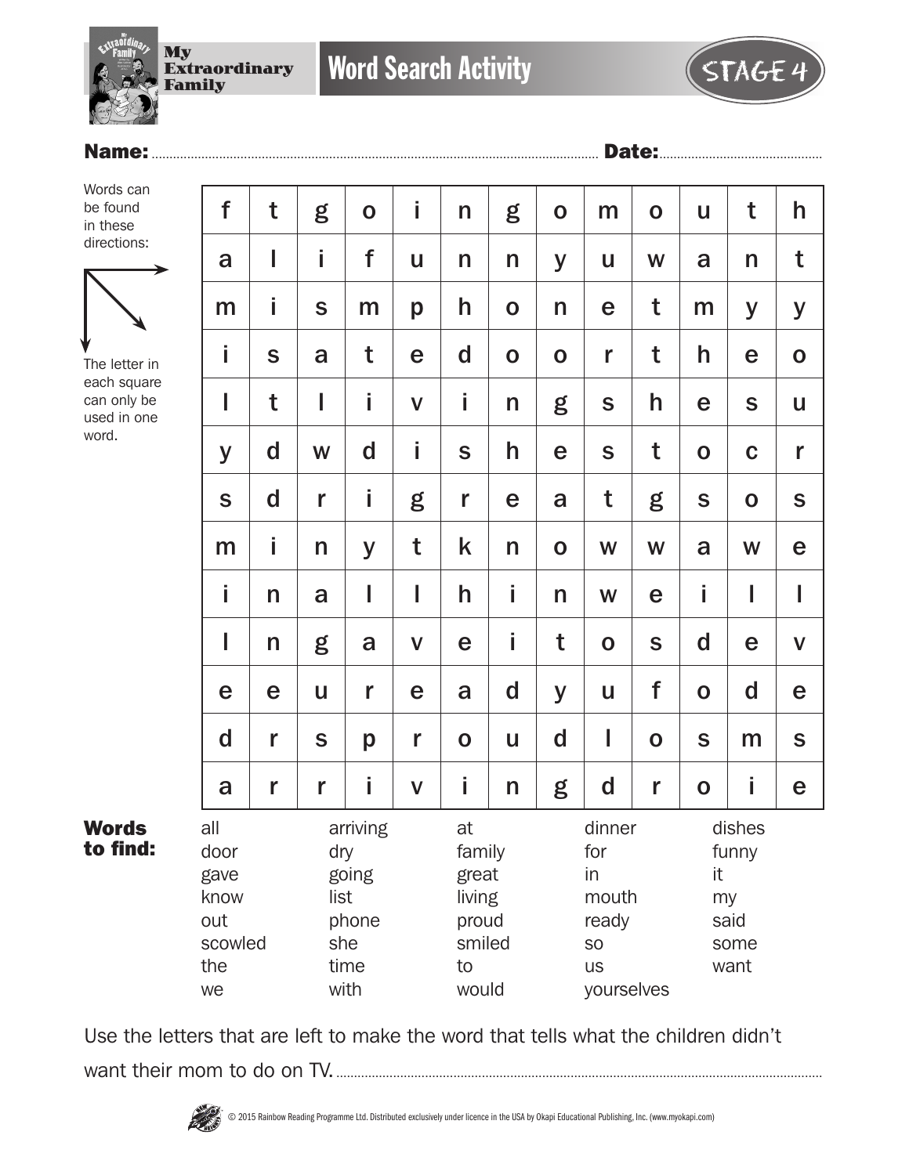

### Name:.............................................................................................................................. Date:..............................................

Words can be found in these directions:



The letter in each square can only be used in one word.

Words to find:

| t           | g                                                                                                                                     | $\mathbf O$ | İ            | $\mathsf{n}$                                                           | g           | $\mathbf 0$ | m                                                   | $\mathbf 0$ | $\mathbf{u}$ | t           | h            |
|-------------|---------------------------------------------------------------------------------------------------------------------------------------|-------------|--------------|------------------------------------------------------------------------|-------------|-------------|-----------------------------------------------------|-------------|--------------|-------------|--------------|
| I           | İ                                                                                                                                     | f           | U            | $\mathsf{n}$                                                           | n           | y           | U                                                   | W           | a            | n           | t            |
| İ           | S                                                                                                                                     | m           | p            | h                                                                      | $\mathbf 0$ | n           | e                                                   | t           | m            | y           | y            |
| S           | a                                                                                                                                     | t           | e            | d                                                                      | $\mathbf 0$ | $\mathbf 0$ | r                                                   | t           | h            | e           | $\mathbf O$  |
| t           | I                                                                                                                                     | Î           | $\mathbf V$  | i                                                                      | n           | g           | $\mathbf S$                                         | h           | e            | S           | U            |
| $\mathbf d$ | W                                                                                                                                     | $\mathbf d$ | İ            | S                                                                      | h           | e           | $\mathbf S$                                         | t           | $\mathbf O$  | $\mathbf C$ | r            |
| $\mathbf d$ | r                                                                                                                                     | İ           | g            | r                                                                      | e           | a           | t                                                   | g           | $\mathbf S$  | $\mathbf O$ | $\mathsf{s}$ |
| İ           | n                                                                                                                                     | y           | t            | k                                                                      | n           | $\mathbf 0$ | W                                                   | W           | a            | W           | e            |
| n           | a                                                                                                                                     | I           | I            | h                                                                      | İ           | n           | W                                                   | e           | İ            | I           | I            |
| n           | g                                                                                                                                     | a           | $\mathbf V$  | e                                                                      | İ           | t           | $\mathbf O$                                         | S           | $\mathbf d$  | e           | $\mathsf{V}$ |
| e           | U                                                                                                                                     | r           | e            | a                                                                      | $\mathbf d$ | y           | U                                                   | f           | $\mathbf 0$  | $\mathbf d$ | e            |
| r           | S                                                                                                                                     | p           | r            | $\mathbf 0$                                                            | U           | $\mathbf d$ | I                                                   | $\mathbf 0$ | $\mathbf S$  | m           | $\mathbf S$  |
| r           | r                                                                                                                                     | İ           | $\mathsf{V}$ | İ                                                                      | n           | g           | d                                                   | r           | $\mathbf 0$  | İ           | e            |
| scowled     | arriving<br>at<br>dry<br>family<br>going<br>great<br>list<br>living<br>phone<br>proud<br>she<br>smiled<br>time<br>to<br>would<br>with |             |              | dinner<br>for<br>in<br>mouth<br>ready<br>SO<br><b>US</b><br>yourselves |             |             | dishes<br>funny<br>it<br>my<br>said<br>some<br>want |             |              |             |              |
|             |                                                                                                                                       |             |              |                                                                        |             |             |                                                     |             |              |             |              |

Use the letters that are left to make the word that tells what the children didn't want their mom to do on TV..........................................................................................................................................

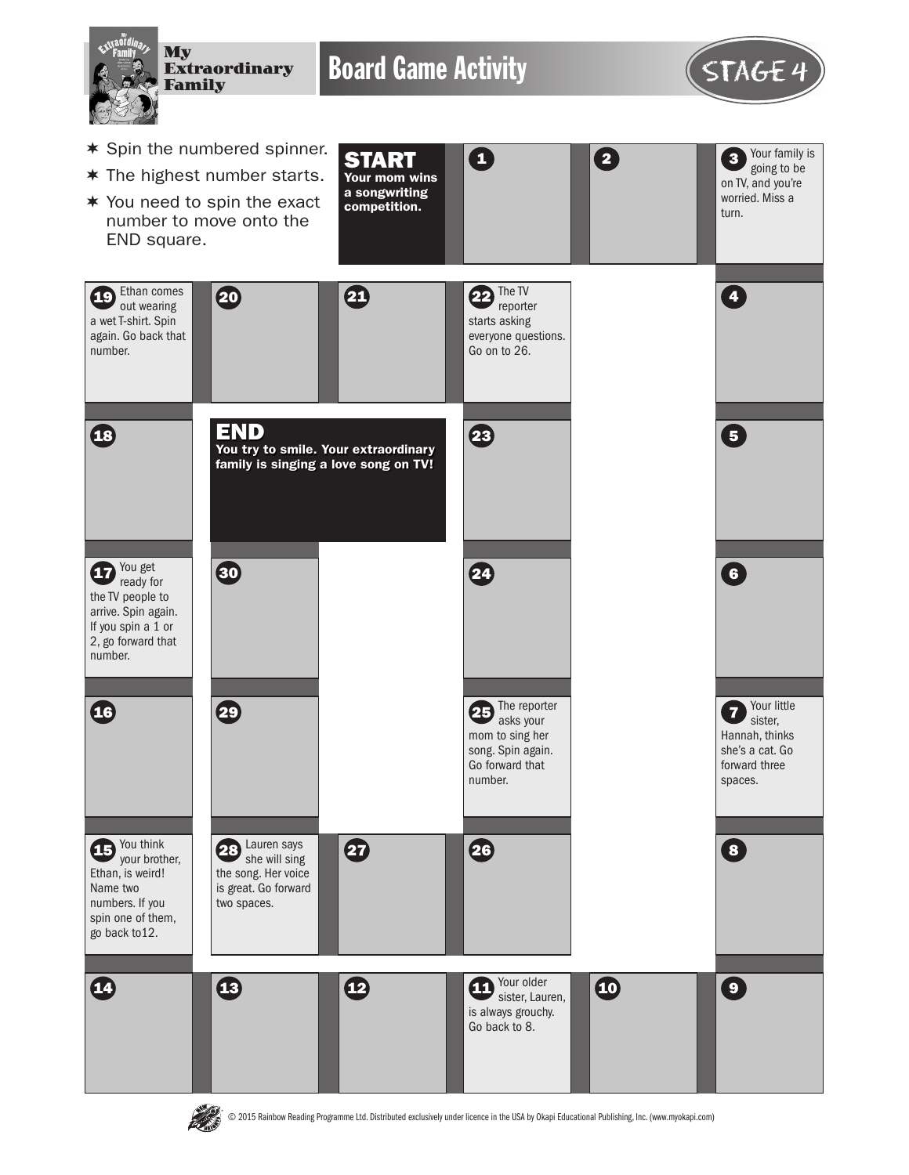

# **PASS**

© 2015 Rainbow Reading Programme Ltd. Distributed exclusively under licence in the USA by Okapi Educational Publishing, Inc. (www.myokapi.com)